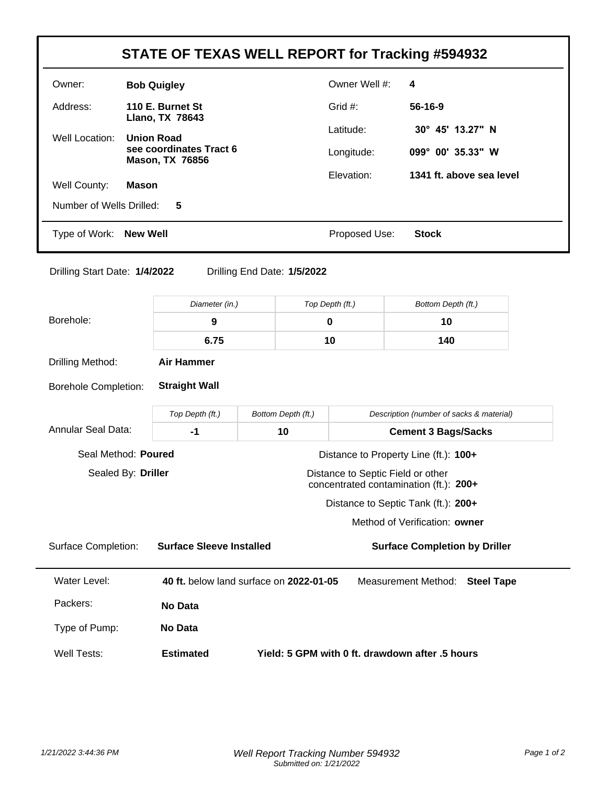|                                                                                                   |                                                   |                                                                                     |                 |                                          | STATE OF TEXAS WELL REPORT for Tracking #594932 |  |  |  |
|---------------------------------------------------------------------------------------------------|---------------------------------------------------|-------------------------------------------------------------------------------------|-----------------|------------------------------------------|-------------------------------------------------|--|--|--|
| Owner:                                                                                            | <b>Bob Quigley</b>                                |                                                                                     |                 | Owner Well #:                            | 4                                               |  |  |  |
| Address:                                                                                          | 110 E. Burnet St                                  |                                                                                     |                 | Grid #:                                  | 56-16-9                                         |  |  |  |
| Well Location:                                                                                    | Llano, TX 78643<br><b>Union Road</b>              |                                                                                     |                 | Latitude:                                | 30° 45' 13.27" N                                |  |  |  |
|                                                                                                   | see coordinates Tract 6<br><b>Mason, TX 76856</b> |                                                                                     |                 | Longitude:                               | 099° 00' 35.33" W                               |  |  |  |
| Well County:                                                                                      | <b>Mason</b>                                      |                                                                                     |                 | Elevation:                               | 1341 ft. above sea level                        |  |  |  |
| Number of Wells Drilled:                                                                          | 5                                                 |                                                                                     |                 |                                          |                                                 |  |  |  |
| Type of Work:<br><b>New Well</b>                                                                  |                                                   |                                                                                     |                 | Proposed Use:<br><b>Stock</b>            |                                                 |  |  |  |
| Drilling Start Date: 1/4/2022                                                                     |                                                   | Drilling End Date: 1/5/2022                                                         |                 |                                          |                                                 |  |  |  |
|                                                                                                   | Diameter (in.)                                    |                                                                                     | Top Depth (ft.) |                                          | Bottom Depth (ft.)                              |  |  |  |
| Borehole:                                                                                         | 9                                                 |                                                                                     | 0               |                                          | 10                                              |  |  |  |
|                                                                                                   | 6.75                                              |                                                                                     | 10              |                                          | 140                                             |  |  |  |
| Drilling Method:                                                                                  | <b>Air Hammer</b>                                 |                                                                                     |                 |                                          |                                                 |  |  |  |
| <b>Borehole Completion:</b>                                                                       | <b>Straight Wall</b>                              |                                                                                     |                 |                                          |                                                 |  |  |  |
|                                                                                                   | Top Depth (ft.)                                   | Bottom Depth (ft.)                                                                  |                 | Description (number of sacks & material) |                                                 |  |  |  |
| <b>Annular Seal Data:</b>                                                                         | $-1$                                              | 10                                                                                  |                 |                                          | <b>Cement 3 Bags/Sacks</b>                      |  |  |  |
| Seal Method: Poured                                                                               |                                                   |                                                                                     |                 |                                          | Distance to Property Line (ft.): 100+           |  |  |  |
| Sealed By: Driller<br>Distance to Septic Field or other<br>concentrated contamination (ft.): 200+ |                                                   |                                                                                     |                 |                                          |                                                 |  |  |  |
|                                                                                                   |                                                   |                                                                                     |                 |                                          | Distance to Septic Tank (ft.): 200+             |  |  |  |
|                                                                                                   |                                                   |                                                                                     |                 | Method of Verification: owner            |                                                 |  |  |  |
| <b>Surface Completion:</b>                                                                        |                                                   | <b>Surface Sleeve Installed</b>                                                     |                 |                                          | <b>Surface Completion by Driller</b>            |  |  |  |
| <b>Water Level:</b>                                                                               |                                                   | 40 ft. below land surface on 2022-01-05<br>Measurement Method:<br><b>Steel Tape</b> |                 |                                          |                                                 |  |  |  |
| Packers:                                                                                          | No Data                                           |                                                                                     |                 |                                          |                                                 |  |  |  |
| Type of Pump:                                                                                     | No Data                                           |                                                                                     |                 |                                          |                                                 |  |  |  |
| <b>Well Tests:</b>                                                                                | <b>Estimated</b>                                  | Yield: 5 GPM with 0 ft. drawdown after .5 hours                                     |                 |                                          |                                                 |  |  |  |